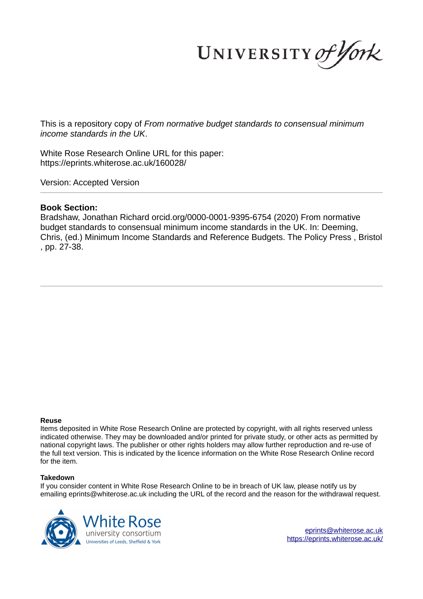UNIVERSITY of York

This is a repository copy of *From normative budget standards to consensual minimum income standards in the UK*.

White Rose Research Online URL for this paper: https://eprints.whiterose.ac.uk/160028/

Version: Accepted Version

# **Book Section:**

Bradshaw, Jonathan Richard orcid.org/0000-0001-9395-6754 (2020) From normative budget standards to consensual minimum income standards in the UK. In: Deeming, Chris, (ed.) Minimum Income Standards and Reference Budgets. The Policy Press , Bristol , pp. 27-38.

#### **Reuse**

Items deposited in White Rose Research Online are protected by copyright, with all rights reserved unless indicated otherwise. They may be downloaded and/or printed for private study, or other acts as permitted by national copyright laws. The publisher or other rights holders may allow further reproduction and re-use of the full text version. This is indicated by the licence information on the White Rose Research Online record for the item.

### **Takedown**

If you consider content in White Rose Research Online to be in breach of UK law, please notify us by emailing eprints@whiterose.ac.uk including the URL of the record and the reason for the withdrawal request.



eprints@whiterose.ac.uk https://eprints.whiterose.ac.uk/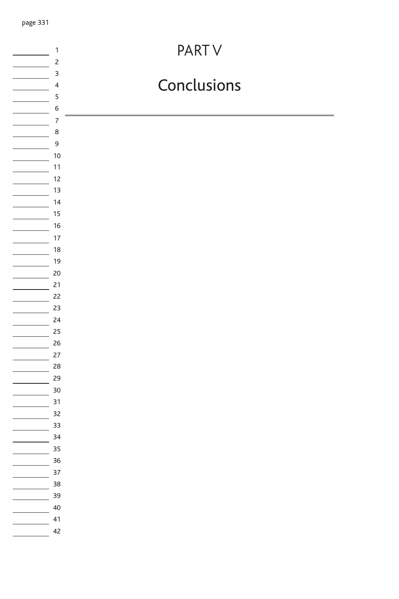| 1                       | <b>PARTV</b> |
|-------------------------|--------------|
|                         |              |
| 3                       |              |
| $\overline{\mathbf{4}}$ | Conclusions  |
| 5                       |              |
| 6                       |              |
| $\overline{7}$          |              |
| 8                       |              |
| 9                       |              |
| $10$                    |              |
| 11                      |              |
| 12                      |              |
| 13                      |              |
| 14                      |              |
| 15                      |              |
| 16                      |              |
| 17                      |              |
| 18<br>19                |              |
|                         |              |
| 20<br>21                |              |
| 22                      |              |
| 23                      |              |
| 24                      |              |
| 25                      |              |
| 26                      |              |
| 27                      |              |
| 28                      |              |
| 29                      |              |
| 30                      |              |
| 31                      |              |
| 32                      |              |
| 33                      |              |
| 34                      |              |
| 35                      |              |
| 36                      |              |
| 37                      |              |
| 38                      |              |
| 39                      |              |
| 40                      |              |
| 41                      |              |
| 42                      |              |
|                         |              |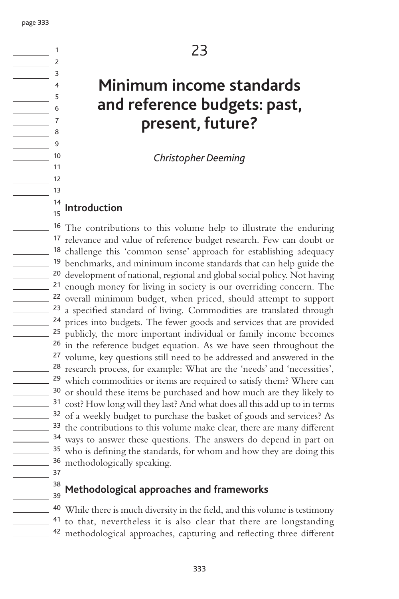# **Minimum income standards and reference budgets: past, present, future?**

 *Christopher Deeming* 

#### $\frac{1}{4}$  14  **Introduction**

 The contributions to this volume help to illustrate the enduring relevance and value of reference budget research. Few can doubt or challenge this 'common sense' approach for establishing adequacy benchmarks, and minimum income standards that can help guide the development of national, regional and global social policy. Not having enough money for living in society is our overriding concern. The overall minimum budget, when priced, should attempt to support <sup>23</sup> a specified standard of living. Commodities are translated through prices into budgets. The fewer goods and services that are provided <sup>25</sup> publicly, the more important individual or family income becomes in the reference budget equation. As we have seen throughout the volume, key questions still need to be addressed and answered in the research process, for example: What are the 'needs' and 'necessities', which commodities or items are required to satisfy them? Where can or should these items be purchased and how much are they likely to <sup>31</sup> cost? How long will they last? And what does all this add up to in terms <sup>32</sup> of a weekly budget to purchase the basket of goods and services? As <sup>33</sup> the contributions to this volume make clear, there are many different <sup>34</sup> ways to answer these questions. The answers do depend in part on <sup>35</sup> who is defining the standards, for whom and how they are doing this methodologically speaking.

 $\frac{37}{2}$ 

### **Methodological approaches and frameworks**   $-$  39

<sup>40</sup> While there is much diversity in the field, and this volume is testimony <sup>41</sup> to that, nevertheless it is also clear that there are longstanding <sup>42</sup> methodological approaches, capturing and reflecting three different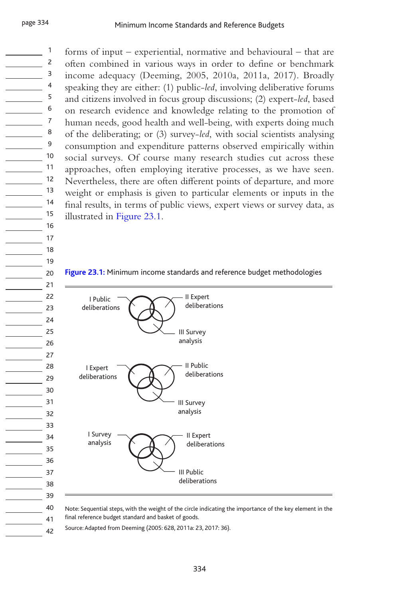forms of input – experiential, normative and behavioural – that are often combined in various ways in order to define or benchmark income adequacy (Deeming, 2005, 2010a, 2011a, 2017). Broadly speaking they are either: (1) public-led, involving deliberative forums and citizens involved in focus group discussions; (2) expert- *led*, based on research evidence and knowledge relating to the promotion of human needs, good health and well-being, with experts doing much of the deliberating; or (3) survey- *led*, with social scientists analysing consumption and expenditure patterns observed empirically within social surveys. Of course many research studies cut across these approaches, often employing iterative processes, as we have seen. Nevertheless, there are often different points of departure, and more weight or emphasis is given to particular elements or inputs in the final results, in terms of public views, expert views or survey data, as illustrated in Figure 23.1 .

**Figure 23.1:** Minimum income standards and reference budget methodologies



 Note: Sequential steps, with the weight of the circle indicating the importance of the key element in the final reference budget standard and basket of goods.

Source: Adapted from Deeming (2005: 628, 2011a: 23, 2017: 36).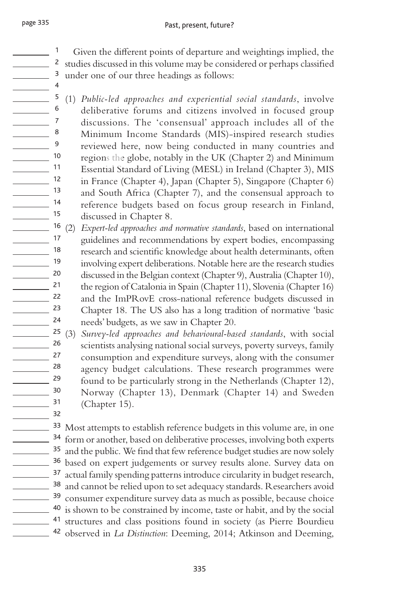5  $\frac{1}{\sqrt{2}}$  6 7  $\frac{1}{\sqrt{1-\frac{1}{2}}}$  8 9 10  $\frac{1}{\sqrt{11}}$  $\frac{12}{2}$  $\frac{13}{2}$  $\frac{14}{14}$  $\frac{15}{2}$  $\frac{16}{16}$  $\frac{17}{2}$  $\frac{18}{18}$  $\frac{1}{\sqrt{1-\frac{1}{2}}}\frac{1}{\sqrt{1-\frac{1}{2}}}\frac{1}{\sqrt{1-\frac{1}{2}}}\frac{1}{\sqrt{1-\frac{1}{2}}}\frac{1}{\sqrt{1-\frac{1}{2}}}\frac{1}{\sqrt{1-\frac{1}{2}}}\frac{1}{\sqrt{1-\frac{1}{2}}}\frac{1}{\sqrt{1-\frac{1}{2}}}\frac{1}{\sqrt{1-\frac{1}{2}}}\frac{1}{\sqrt{1-\frac{1}{2}}}\frac{1}{\sqrt{1-\frac{1}{2}}}\frac{1}{\sqrt{1-\frac{1}{2}}}\frac{1}{\sqrt{1-\frac{1}{2}}}\frac{1}{\sqrt{1-\frac{$  $\frac{20}{20}$  $\frac{21}{2}$  $\overline{\phantom{a}}$  22  $\frac{23}{2}$  $\frac{24}{2}$ 

Given the different points of departure and weightings implied, the studies discussed in this volume may be considered or perhaps classified under one of our three headings as follows:

(1) *Public- led approaches and experiential social standards*, involve deliberative forums and citizens involved in focused group discussions. The 'consensual' approach includes all of the Minimum Income Standards (MIS)-inspired research studies reviewed here, now being conducted in many countries and regions the globe, notably in the UK (Chapter 2) and Minimum Essential Standard of Living (MESL) in Ireland (Chapter 3), MIS in France (Chapter 4), Japan (Chapter 5), Singapore (Chapter 6) and South Africa (Chapter 7), and the consensual approach to reference budgets based on focus group research in Finland, discussed in Chapter 8.

(2) *Expert- led approaches and normative standards*, based on international guidelines and recommendations by expert bodies, encompassing research and scientific knowledge about health determinants, often involving expert deliberations. Notable here are the research studies discussed in the Belgian context (Chapter 9), Australia (Chapter 10), the region of Catalonia in Spain (Chapter 11), Slovenia (Chapter 16) and the ImPRovE cross-national reference budgets discussed in Chapter 18. The US also has a long tradition of normative 'basic needs' budgets, as we saw in Chapter 20.

 $\overline{\phantom{225}}$  25  $\frac{26}{2}$  $\overline{\phantom{27}}$  27 28 29  $\frac{30}{2}$  $\frac{31}{2}$ 32 (3) *Survey- led approaches and behavioural- based standards*, with social scientists analysing national social surveys, poverty surveys, family consumption and expenditure surveys, along with the consumer agency budget calculations. These research programmes were found to be particularly strong in the Netherlands (Chapter 12), Norway (Chapter 13), Denmark (Chapter 14) and Sweden (Chapter 15).

> <sup>33</sup> Most attempts to establish reference budgets in this volume are, in one <sup>34</sup> form or another, based on deliberative processes, involving both experts <sup>35</sup> and the public. We find that few reference budget studies are now solely 36 based on expert judgements or survey results alone. Survey data on <sup>37</sup> actual family spending patterns introduce circularity in budget research, <sup>38</sup> and cannot be relied upon to set adequacy standards. Researchers avoid 39 consumer expenditure survey data as much as possible, because choice <sup>40</sup> is shown to be constrained by income, taste or habit, and by the social 41 structures and class positions found in society (as Pierre Bourdieu <sup>42</sup> observed in *La Distinction*: Deeming, 2014; Atkinson and Deeming,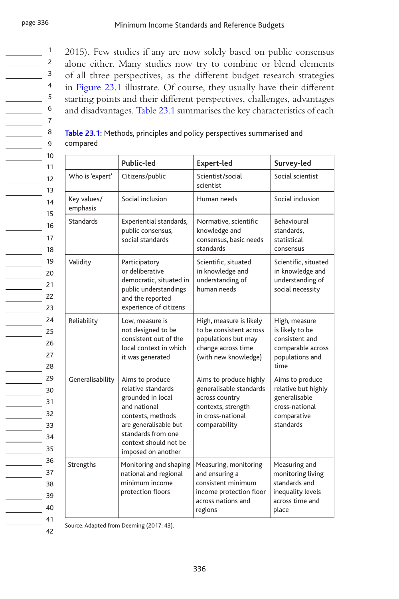$\frac{2}{\sqrt{2}}$ 

 $\frac{1}{\sqrt{1-\frac{1}{2}}}\left(4\right)$ 5  $\frac{1}{\sqrt{2}}$  6  $\frac{1}{\sqrt{1-\frac{1}{2}}}\frac{7}{4}$  $\frac{1}{2}$  8  $\frac{9}{2}$ 10 11 12  $\frac{13}{2}$ 14 15  $\frac{16}{16}$ 

1

3

17

 $\frac{18}{18}$  $\frac{1}{\sqrt{1-\frac{1}{2}}}\frac{1}{\sqrt{1-\frac{1}{2}}}\frac{1}{\sqrt{1-\frac{1}{2}}}\frac{1}{\sqrt{1-\frac{1}{2}}}\frac{1}{\sqrt{1-\frac{1}{2}}}\frac{1}{\sqrt{1-\frac{1}{2}}}\frac{1}{\sqrt{1-\frac{1}{2}}}\frac{1}{\sqrt{1-\frac{1}{2}}}\frac{1}{\sqrt{1-\frac{1}{2}}}\frac{1}{\sqrt{1-\frac{1}{2}}}\frac{1}{\sqrt{1-\frac{1}{2}}}\frac{1}{\sqrt{1-\frac{1}{2}}}\frac{1}{\sqrt{1-\frac{1}{2}}}\frac{1}{\sqrt{1-\frac{$  $\frac{20}{2}$  $\frac{21}{2}$  $\frac{22}{2}$  $\frac{23}{2}$  $\frac{24}{2}$  $\overline{\phantom{a}25}$  $\frac{26}{2}$  $\overline{\phantom{a}}$  27  $\frac{28}{2}$ 29  $\frac{30}{2}$ 31  $\frac{32}{2}$ 33  $\frac{34}{2}$ 35  $\frac{36}{2}$ 37  $\frac{38}{1}$ 39  $\sim$  40 41 42 2015). Few studies if any are now solely based on public consensus alone either. Many studies now try to combine or blend elements of all three perspectives, as the different budget research strategies in Figure 23.1 illustrate. Of course, they usually have their different starting points and their different perspectives, challenges, advantages and disadvantages. Table 23.1 summarises the key characteristics of each

**Table 23.1:** Methods, principles and policy perspectives summarised and compared

|                         | Public-led                                                                                                                                                                                    | Expert-led                                                                                                                      | Survey-led                                                                                            |
|-------------------------|-----------------------------------------------------------------------------------------------------------------------------------------------------------------------------------------------|---------------------------------------------------------------------------------------------------------------------------------|-------------------------------------------------------------------------------------------------------|
| Who is 'expert'         | Citizens/public                                                                                                                                                                               | Scientist/social<br>scientist                                                                                                   | Social scientist                                                                                      |
| Key values/<br>emphasis | Social inclusion                                                                                                                                                                              | Human needs                                                                                                                     | Social inclusion                                                                                      |
| Standards               | Experiential standards,<br>public consensus,<br>social standards                                                                                                                              | Normative, scientific<br>knowledge and<br>consensus, basic needs<br>standards                                                   | <b>Behavioural</b><br>standards,<br>statistical<br>consensus                                          |
| Validity                | Participatory<br>or deliberative<br>democratic, situated in<br>public understandings<br>and the reported<br>experience of citizens                                                            | Scientific, situated<br>in knowledge and<br>understanding of<br>human needs                                                     | Scientific, situated<br>in knowledge and<br>understanding of<br>social necessity                      |
| Reliability             | Low, measure is<br>not designed to be<br>consistent out of the<br>local context in which<br>it was generated                                                                                  | High, measure is likely<br>to be consistent across<br>populations but may<br>change across time<br>(with new knowledge)         | High, measure<br>is likely to be<br>consistent and<br>comparable across<br>populations and<br>time    |
| Generalisability        | Aims to produce<br>relative standards<br>grounded in local<br>and national<br>contexts, methods<br>are generalisable but<br>standards from one<br>context should not be<br>imposed on another | Aims to produce highly<br>generalisable standards<br>across country<br>contexts, strength<br>in cross-national<br>comparability | Aims to produce<br>relative but highly<br>generalisable<br>cross-national<br>comparative<br>standards |
| Strengths               | Monitoring and shaping<br>national and regional<br>minimum income<br>protection floors                                                                                                        | Measuring, monitoring<br>and ensuring a<br>consistent minimum<br>income protection floor<br>across nations and<br>regions       | Measuring and<br>monitoring living<br>standards and<br>inequality levels<br>across time and<br>place  |

Source: Adapted from Deeming (2017: 43).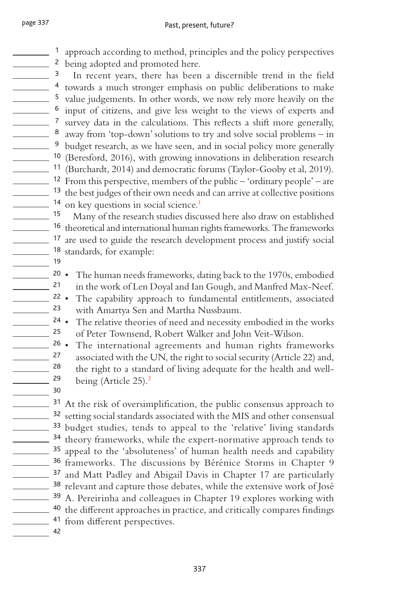1 approach according to method, principles and the policy perspectives <sup>2</sup> being adopted and promoted here.

<sup>3</sup> In recent years, there has been a discernible trend in the field 4 towards a much stronger emphasis on public deliberations to make 5 value judgements. In other words, we now rely more heavily on the 6 input of citizens, and give less weight to the views of experts and <sup>7</sup> survey data in the calculations. This reflects a shift more generally, <sup>8</sup> away from 'top-down' solutions to try and solve social problems – in 9 budget research, as we have seen, and in social policy more generally <sup>10</sup> (Beresford, 2016), with growing innovations in deliberation research <sup>11</sup> (Burchardt, 2014) and democratic forums (Taylor-Gooby et al, 2019). 12 From this perspective, members of the public – 'ordinary people' –are <sup>13</sup> the best judges of their own needs and can arrive at collective positions <sup>14</sup> on key questions in social science.<sup>1</sup>

 Many of the research studies discussed here also draw on established theoretical and international human rights frameworks. The frameworks are used to guide the research development process and justify social standards, for example: 19

- $\frac{20}{20}$  $\frac{21}{2}$ The human needs frameworks, dating back to the 1970s, embodied in the work of Len Doyal and Ian Gough, and Manfred Max-Neef.
- $\frac{22}{1}$  $\frac{23}{2}$ The capability approach to fundamental entitlements, associated with Amartya Sen and Martha Nussbaum.
- 24  $\frac{25}{25}$ The relative theories of need and necessity embodied in the works of Peter Townsend, Robert Walker and John Veit- Wilson.

 $\frac{26}{100}$  $\overline{\phantom{27}}$  27  $\frac{28}{2}$  $\frac{29}{2}$ The international agreements and human rights frameworks associated with the UN, the right to social security (Article 22) and, the right to a standard of living adequate for the health and wellbeing (Article 25).<sup>2</sup>

 $\frac{30}{2}$ <sup>31</sup> At the risk of oversimplification, the public consensus approach to <sup>32</sup> setting social standards associated with the MIS and other consensual <sup>33</sup> budget studies, tends to appeal to the 'relative' living standards <sup>34</sup> theory frameworks, while the expert-normative approach tends to <sup>35</sup> appeal to the 'absoluteness' of human health needs and capability 36 frameworks. The discussions by Bérénice Storms in Chapter 9 <sup>37</sup> and Matt Padley and Abigail Davis in Chapter 17 are particularly <sup>38</sup> relevant and capture those debates, while the extensive work of José 39 A. Pereirinha and colleagues in Chapter 19 explores working with <sup>40</sup> the different approaches in practice, and critically compares findings <sup>41</sup> from different perspectives. 42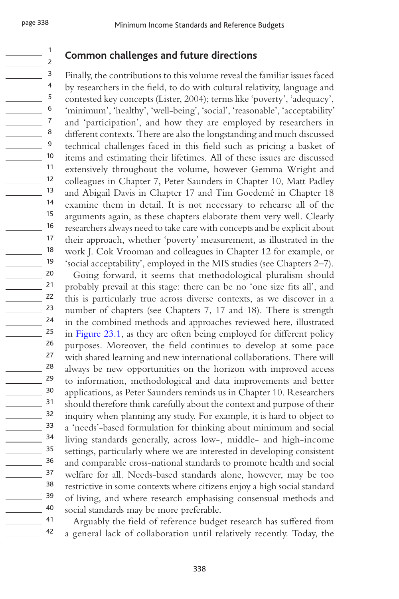page 338

 $\frac{1}{\sqrt{1-\frac{1}{2}}}\left(4\right)$ 5  $\frac{1}{\sqrt{1-\frac{1}{2}}}\frac{6}{1-\frac{1}{2}}$  $\frac{1}{2}$   $\frac{7}{2}$  $\sim$  8  $\frac{9}{2}$ 10  $\frac{1}{\sqrt{11}}$  11  $\frac{1}{\sqrt{12}}$  12  $\frac{13}{2}$ 14  $\frac{15}{2}$  $\frac{16}{16}$  $\frac{1}{\sqrt{11}}$  $\frac{1}{18}$ <u>\_\_\_\_\_\_\_\_\_\_\_\_</u> 19 20  $\frac{21}{2}$  $\frac{22}{2}$  $\frac{23}{2}$ 24 25  $\frac{26}{25}$  $\frac{27}{2}$ 28 29  $\frac{30}{2}$  $\frac{31}{2}$  $\frac{32}{2}$  $\frac{33}{2}$  $\frac{34}{1}$ 35  $\frac{36}{2}$  $\frac{37}{2}$ 38 <u>2000 - 39</u>  $\frac{40}{1}$  $\frac{41}{2}$  $\overline{\phantom{a}}$  42

 $\overline{\phantom{a}}$ 

1 2 3

# **Common challenges and future directions**

Finally, the contributions to this volume reveal the familiar issues faced by researchers in the field, to do with cultural relativity, language and contested key concepts (Lister, 2004 ); terms like 'poverty', 'adequacy', 'minimum', 'healthy', 'well-being', 'social', 'reasonable', 'acceptability' and 'participation', and how they are employed by researchers in different contexts. There are also the longstanding and much discussed technical challenges faced in this field such as pricing a basket of items and estimating their lifetimes. All of these issues are discussed extensively throughout the volume, however Gemma Wright and colleagues in Chapter 7, Peter Saunders in Chapter 10, Matt Padley and Abigail Davis in Chapter 17 and Tim Goedemé in Chapter 18 examine them in detail. It is not necessary to rehearse all of the arguments again, as these chapters elaborate them very well. Clearly researchers always need to take care with concepts and be explicit about their approach, whether 'poverty' measurement, as illustrated in the work J. Cok Vrooman and colleagues in Chapter 12 for example, or 'social acceptability', employed in the MIS studies (see Chapters 2–7).

Going forward, it seems that methodological pluralism should probably prevail at this stage: there can be no 'one size fits all', and this is particularly true across diverse contexts, as we discover in a number of chapters (see Chapters 7, 17 and 18). There is strength in the combined methods and approaches reviewed here, illustrated in Figure 23.1, as they are often being employed for different policy purposes. Moreover, the field continues to develop at some pace with shared learning and new international collaborations. There will always be new opportunities on the horizon with improved access to information, methodological and data improvements and better applications, as Peter Saunders reminds us in Chapter 10. Researchers should therefore think carefully about the context and purpose of their inquiry when planning any study. For example, it is hard to object to a 'needs'- based formulation for thinking about minimum and social living standards generally, across low-, middle- and high-income settings, particularly where we are interested in developing consistent and comparable cross- national standards to promote health and social welfare for all. Needs-based standards alone, however, may be too restrictive in some contexts where citizens enjoy a high social standard of living, and where research emphasising consensual methods and social standards may be more preferable.

Arguably the field of reference budget research has suffered from a general lack of collaboration until relatively recently. Today, the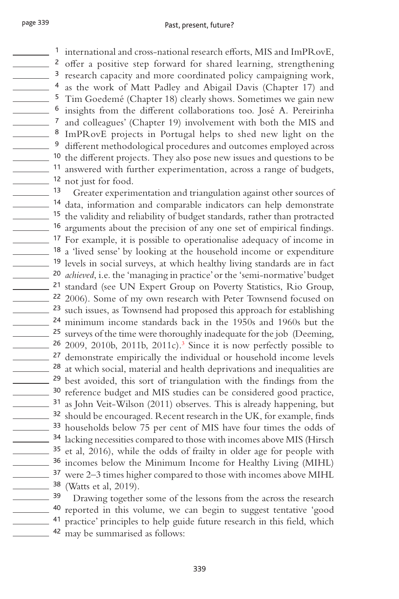<sup>1</sup> international and cross-national research efforts, MIS and ImPRovE, <sup>2</sup> offer a positive step forward for shared learning, strengthening <sup>3</sup> research capacity and more coordinated policy campaigning work, 4 as the work of Matt Padley and Abigail Davis (Chapter 17) and 5 Tim Goedemé (Chapter 18) clearly shows. Sometimes we gain new <sup>6</sup> insights from the different collaborations too. José A. Pereirinha 7 and colleagues' (Chapter 19) involvement with both the MIS and 8 ImPRovE projects in Portugal helps to shed new light on the <sup>9</sup> different methodological procedures and outcomes employed across <sup>10</sup> the different projects. They also pose new issues and questions to be 11 answered with further experimentation, across a range of budgets, 12 not just for food.

<sup>13</sup> Greater experimentation and triangulation against other sources of 14 data, information and comparable indicators can help demonstrate 15 the validity and reliability of budget standards, rather than protracted <sup>16</sup> arguments about the precision of any one set of empirical findings. 17 For example, it is possible to operationalise adequacy of income in 18 a 'lived sense' by looking at the household income or expenditure 19 levels in social surveys, at which healthy living standards are in fact 20 *achieved*, i.e. the 'managing in practice' or the 'semi- normative' budget 21 standard (see UN Expert Group on Poverty Statistics, Rio Group, <sup>22</sup> 2006). Some of my own research with Peter Townsend focused on <sup>23</sup> such issues, as Townsend had proposed this approach for establishing 24 minimum income standards back in the 1950s and 1960s but the <sup>25</sup> surveys of the time were thoroughly inadequate for the job (Deeming,  $26$  2009, 2010b, 2011b, 2011c).<sup>3</sup> Since it is now perfectly possible to 27 demonstrate empirically the individual or household income levels <sup>28</sup> at which social, material and health deprivations and inequalities are <sup>29</sup> best avoided, this sort of triangulation with the findings from the <sup>30</sup> reference budget and MIS studies can be considered good practice, <sup>31</sup> as John Veit-Wilson (2011) observes. This is already happening, but <sup>32</sup> should be encouraged. Recent research in the UK, for example, finds 33 households below 75 per cent of MIS have four times the odds of <sup>34</sup> lacking necessities compared to those with incomes above MIS (Hirsch <sup>35</sup> et al, 2016), while the odds of frailty in older age for people with 36 incomes below the Minimum Income for Healthy Living (MIHL) <sup>37</sup> were 2-3 times higher compared to those with incomes above MIHL <sup>38</sup> (Watts et al, 2019).

<sup>39</sup> Drawing together some of the lessons from the across the research 40 reported in this volume, we can begin to suggest tentative 'good <sup>41</sup> practice' principles to help guide future research in this field, which 42 may be summarised as follows: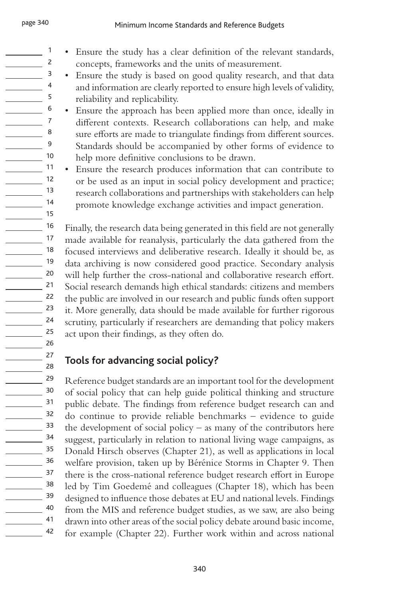5 6  $\frac{1}{\sqrt{1-\frac{1}{2}}}\frac{7}{4}$  $\sim$  8

10  $\frac{1}{\sqrt{11}}$  11  $\frac{1}{2}$  12  $\frac{13}{2}$ 14  $\frac{15}{2}$  $\frac{16}{16}$  $\frac{1}{\sqrt{11}}$ 18  $\frac{1}{\sqrt{1-\frac{1}{2}}}\frac{1}{\sqrt{1-\frac{1}{2}}}\frac{1}{\sqrt{1-\frac{1}{2}}}\frac{1}{\sqrt{1-\frac{1}{2}}}\frac{1}{\sqrt{1-\frac{1}{2}}}\frac{1}{\sqrt{1-\frac{1}{2}}}\frac{1}{\sqrt{1-\frac{1}{2}}}\frac{1}{\sqrt{1-\frac{1}{2}}}\frac{1}{\sqrt{1-\frac{1}{2}}}\frac{1}{\sqrt{1-\frac{1}{2}}}\frac{1}{\sqrt{1-\frac{1}{2}}}\frac{1}{\sqrt{1-\frac{1}{2}}}\frac{1}{\sqrt{1-\frac{1}{2}}}\frac{1}{\sqrt{1-\frac{$ 20  $\frac{21}{2}$  $\frac{22}{2}$  $\frac{23}{2}$  $\frac{24}{2}$  $\frac{25}{25}$  $\frac{26}{25}$  $\frac{27}{2}$  $\frac{28}{2}$  $\overline{\phantom{1}}$  29  $\frac{30}{2}$  $\frac{31}{2}$  $\frac{32}{2}$ 33  $\frac{34}{1}$ 35 36 37  $\frac{38}{2}$ <u>2000 - 39</u>  $\frac{40}{1}$ 41  $\overline{\phantom{a}}$  42

9

- Ensure the study has a clear definition of the relevant standards, concepts, frameworks and the units of measurement.
- Ensure the study is based on good quality research, and that data and information are clearly reported to ensure high levels of validity, reliability and replicability.
- Ensure the approach has been applied more than once, ideally in different contexts. Research collaborations can help, and make sure efforts are made to triangulate findings from different sources. Standards should be accompanied by other forms of evidence to help more definitive conclusions to be drawn.
- Ensure the research produces information that can contribute to or be used as an input in social policy development and practice; research collaborations and partnerships with stakeholders can help promote knowledge exchange activities and impact generation.

Finally, the research data being generated in this field are not generally made available for reanalysis, particularly the data gathered from the focused interviews and deliberative research. Ideally it should be, as data archiving is now considered good practice. Secondary analysis will help further the cross-national and collaborative research effort. Social research demands high ethical standards: citizens and members the public are involved in our research and public funds often support it. More generally, data should be made available for further rigorous scrutiny, particularly if researchers are demanding that policy makers act upon their findings, as they often do.

# **Tools for advancing social policy?**

Reference budget standards are an important tool for the development of social policy that can help guide political thinking and structure public debate. The findings from reference budget research can and do continue to provide reliable benchmarks – evidence to guide the development of social policy – as many of the contributors here suggest, particularly in relation to national living wage campaigns, as Donald Hirsch observes (Chapter 21), as well as applications in local welfare provision, taken up by Bérénice Storms in Chapter 9. Then there is the cross-national reference budget research effort in Europe led by Tim Goedemé and colleagues (Chapter 18), which has been designed to influence those debates at EU and national levels. Findings from the MIS and reference budget studies, as we saw, are also being drawn into other areas of the social policy debate around basic income, for example (Chapter 22). Further work within and across national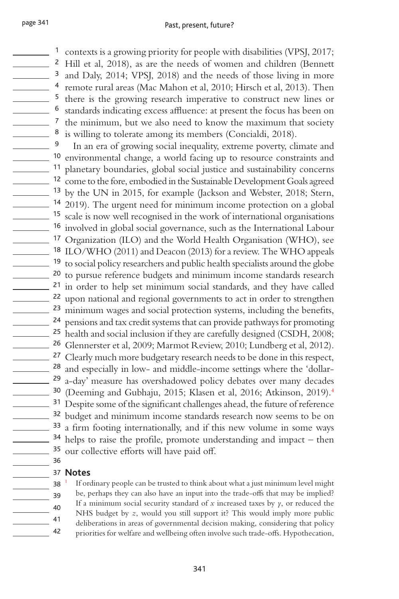### Past, present, future?

<sup>1</sup> contexts is a growing priority for people with disabilities (VPSJ, 2017; <sup>2</sup> Hill et al, 2018), as are the needs of women and children (Bennett <sup>3</sup> and Daly, 2014; VPSJ, 2018) and the needs of those living in more <sup>4</sup> remote rural areas (Mac Mahon et al, 2010; Hirsch et al, 2013). Then 5 there is the growing research imperative to construct new lines or <sup>6</sup> standards indicating excess affluence: at present the focus has been on 7 the minimum, but we also need to know the maximum that society 8 is willing to tolerate among its members (Concialdi, 2018).

 $\frac{9}{2}$ 10 environmental change, a world facing up to resource constraints and 11 planetary boundaries, global social justice and sustainability concerns 12 come to the fore, embodied in the Sustainable Development Goals agreed <sup>13</sup> by the UN in 2015, for example (Jackson and Webster, 2018; Stern, 14 2019 ). The urgent need for minimum income protection on a global 15 scale is now well recognised in the work of international organisations 16 involved in global social governance, such as the International Labour 17 Organization (ILO) and the World Health Organisation (WHO), see <sup>18</sup> ILO/WHO (2011) and Deacon (2013) for a review. The WHO appeals 19 to social policy researchers and public health specialists around the globe 20 to pursue reference budgets and minimum income standards research 21 in order to help set minimum social standards, and they have called <sup>22</sup> upon national and regional governments to act in order to strengthen <sup>23</sup> minimum wages and social protection systems, including the benefits, 24 pensions and tax credit systems that can provide pathways for promoting <sup>25</sup> health and social inclusion if they are carefully designed (CSDH, 2008; <sup>26</sup> Glennerster et al, 2009; Marmot Review, 2010; Lundberg et al, 2012). <sup>27</sup> Clearly much more budgetary research needs to be done in this respect, <sup>28</sup> and especially in low- and middle-income settings where the 'dollar-29 a-day' measure has overshadowed policy debates over many decades <sup>30</sup> (Deeming and Gubhaju, 2015; Klasen et al, 2016; Atkinson, 2019).<sup>4</sup> <sup>31</sup> Despite some of the significant challenges ahead, the future of reference 32 budget and minimum income standards research now seems to be on 33 a firm footing internationally, and if this new volume in some ways  $34$  helps to raise the profile, promote understanding and impact – then <sup>35</sup> our collective efforts will have paid off. In an era of growing social inequality, extreme poverty, climate and

# 37  **Notes**

 $\frac{36}{2}$ 

38 $^{-1}$ 39 40 41 42 If ordinary people can be trusted to think about what a just minimum level might be, perhaps they can also have an input into the trade-offs that may be implied? If a minimum social security standard of  $x$  increased taxes by  $y$ , or reduced the NHS budget by *z*, would you still support it? This would imply more public deliberations in areas of governmental decision making, considering that policy priorities for welfare and wellbeing often involve such trade-offs. Hypothecation,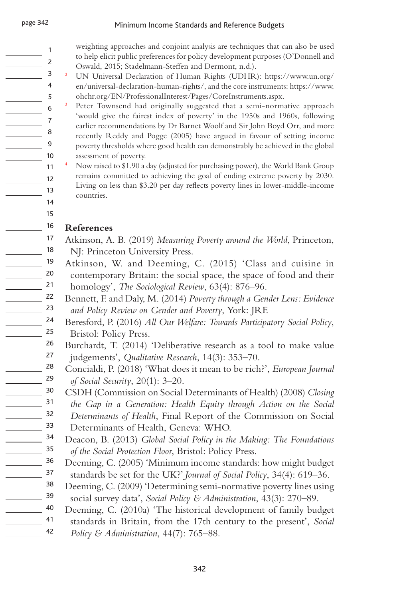5  $\frac{1}{\sqrt{2}}$  6  $\sim$   $\sim$   $\sim$   $\sim$   $\sim$   $\sim$  $\overline{\phantom{a}}$  8  $\frac{1}{\sqrt{1-\frac{1}{2}}}\frac{9}{2}$ 10  $\frac{1}{\sqrt{11}}$  11  $\frac{1}{2}$  12  $\frac{13}{2}$  $\frac{14}{14}$  $\frac{15}{2}$  $\frac{16}{16}$  $\frac{1}{\sqrt{11}}$  $\frac{1}{18}$  18 19 20  $\frac{21}{2}$ 

 $\begin{array}{c} \begin{array}{c} \begin{array}{c} \begin{array}{c} \end{array} \\ \begin{array}{c} \end{array} \end{array} \end{array} \end{array}$ 

weighting approaches and conjoint analysis are techniques that can also be used to help elicit public preferences for policy development purposes (O'Donnell and Oswald, 2015; Stadelmann-Steffen and Dermont, n.d.).

 2 UN Universal Declaration of Human Rights (UDHR): https:// www.un.org/ en/ universal- declaration- human- rights/ , and the core instruments: https:// www. ohchr.org/ EN/ ProfessionalInterest/ Pages/ CoreInstruments.aspx.

3 Peter Townsend had originally suggested that a semi-normative approach 'would give the fairest index of poverty' in the 1950s and 1960s, following earlier recommendations by Dr Barnet Woolf and Sir John Boyd Orr, and more recently Reddy and Pogge (2005) have argued in favour of setting income poverty thresholds where good health can demonstrably be achieved in the global assessment of poverty.

 4 Now raised to \$1.90 a day (adjusted for purchasing power), the World Bank Group remains committed to achieving the goal of ending extreme poverty by 2030. Living on less than \$3.20 per day reflects poverty lines in lower-middle-income countries.

## **References**

Atkinson, A. B. (2019) Measuring Poverty around the World, Princeton, NJ: Princeton University Press.

- Atkinson, W. and Deeming, C. (2015) 'Class and cuisine in contemporary Britain: the social space, the space of food and their homology', *The Sociological Review*, 63(4): 876–96.
- $\frac{22}{2}$  $\frac{23}{2}$ Bennett, F. and Daly, M. (2014) *Poverty through a Gender Lens: Evidence and Policy Review on Gender and Poverty* , York: JRF.
- 24  $\frac{25}{25}$ Beresford, P. (2016) *All Our Welfare: Towards Participatory Social Policy*, Bristol: Policy Press.
- $\frac{26}{25}$  $\frac{27}{2}$ Burchardt, T. (2014) 'Deliberative research as a tool to make value judgements', *Qualitative Research*, 14(3): 353-70.
- $\frac{28}{2}$ 29 Concialdi, P. (2018) 'What does it mean to be rich?', *European Journal of Social Security* , 20(1): 3– 20.
- $\frac{30}{2}$ 31  $\frac{32}{2}$ 33 CSDH (Commission on Social Determinants of Health) (2008) *Closing the Gap in a Generation: Health Equity through Action on the Social Determinants of Health*, Final Report of the Commission on Social Determinants of Health, Geneva: WHO.
- $\frac{34}{1}$ 35 Deacon, B. (2013) *Global Social Policy in the Making: The Foundations of the Social Protection Floor* , Bristol: Policy Press.
- 36 37 Deeming, C. (2005) 'Minimum income standards: how might budget standards be set for the UK?' *Journal of Social Policy*, 34(4): 619–36.
- 38 <u>2000 - 39</u> Deeming, C. (2009) 'Determining semi-normative poverty lines using social survey data', *Social Policy & Administration*, 43(3): 270-89.
- $\frac{40}{1}$ Deeming, C. (2010a) 'The historical development of family budget
- 41 standards in Britain, from the 17th century to the present', *Social* 
	- 42 *Policy & Administration*, 44(7): 765–88.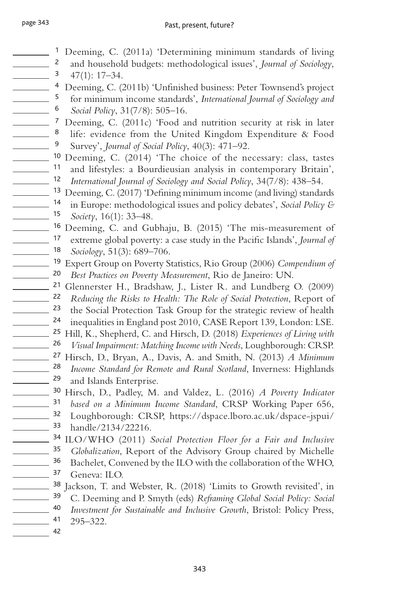Deeming, C. (2011a) 'Determining minimum standards of living 1 2 and household budgets: methodological issues', *Journal of Sociology* , 3  $47(1): 17-34.$ 4 Deeming, C. (2011b) 'Unfinished business: Peter Townsend's project for minimum income standards', *International Journal of Sociology and*   $\mathcal{L}^{\text{max}}(\mathcal{L}^{\text{max}})$ 5 6 *Social Policy*, 31(7/8): 505-16. 7 Deeming, C.  $(2011c)$  'Food and nutrition security at risk in later  $\frac{1}{\sqrt{2}}$  8 life: evidence from the United Kingdom Expenditure & Food  $\frac{9}{2}$ Survey', *Journal of Social Policy*, 40(3): 471–92. <sup>10</sup> Deeming, C. (2014) 'The choice of the necessary: class, tastes  $\frac{1}{\sqrt{11}}$  11 and lifestyles: a Bourdieusian analysis in contemporary Britain',  $\frac{1}{\sqrt{12}}$  12 *International Journal of Sociology and Social Policy*, 34(7/8): 438–54.  $\frac{13}{2}$ Deeming, C. (2017) 'Defining minimum income (and living) standards 14 in Europe: methodological issues and policy debates', *Social Policy &*  15 *Society*, 16(1): 33–48. <sup>16</sup> Deeming, C. and Gubhaju, B. (2015) 'The mis-measurement of  $\frac{17}{2}$ extreme global poverty: a case study in the Pacific Islands', *Journal of*  $\frac{1}{18}$ Sociology, 51(3): 689-706. <sup>19</sup> Expert Group on Poverty Statistics, Rio Group (2006) Compendium of 20 Best Practices on Poverty Measurement, Rio de Janeiro: UN.  $\frac{21}{2}$ Glennerster H., Bradshaw, J., Lister R. and Lundberg O. (2009)  $\frac{22}{2}$ *Reducing the Risks to Health: The Role of Social Protection*, Report of  $\frac{23}{2}$ the Social Protection Task Group for the strategic review of health inequalities in England post 2010, CASE Report 139, London: LSE.  $\sim$  24  $\frac{25}{2}$ Hill, K., Shepherd, C. and Hirsch, D. (2018) *Experiences of Living with* 26 *Visual Impairment: Matching Income with Needs*, Loughborough: CRSP. <sup>27</sup> Hirsch, D., Bryan, A., Davis, A. and Smith, N. (2013) *A Minimum* 28 *Income Standard for Remote and Rural Scotland*, Inverness: Highlands  $\overline{\phantom{a}}$  29 and Islands Enterprise.  $\frac{30}{2}$ Hirsch, D., Padley, M. and Valdez, L. (2016) *A Poverty Indicator* 31 *based on a Minimum Income Standard*, CRSP Working Paper 656,  $\frac{32}{2}$ Loughborough: CRSP, https://dspace.lboro.ac.uk/dspace-jspui/  $\frac{33}{2}$ handle/2134/22216. <sup>34</sup> ILO/WHO (2011) *Social Protection Floor for a Fair and Inclusive* 35 *Globalization*, Report of the Advisory Group chaired by Michelle 36 Bachelet, Convened by the ILO with the collaboration of the WHO,  $\frac{37}{2}$ Geneva: ILO. <sup>38</sup> Jackson, T. and Webster, R. (2018) 'Limits to Growth revisited', in 39 C. Deeming and P. Smyth (eds) *Reframing Global Social Policy: Social*   $\frac{40}{1}$ *Investment for Sustainable and Inclusive Growth*, Bristol: Policy Press, 41 295– 322.

42